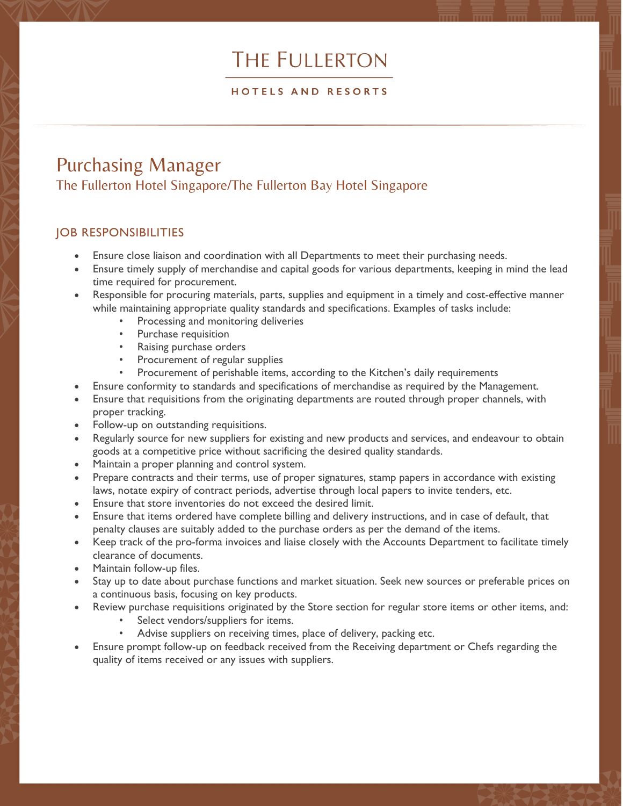# THE FULLERTON

#### HOTELS AND RESORTS

## Purchasing Manager The Fullerton Hotel Singapore/The Fullerton Bay Hotel Singapore

### JOB RESPONSIBILITIES

- Ensure close liaison and coordination with all Departments to meet their purchasing needs.
- Ensure timely supply of merchandise and capital goods for various departments, keeping in mind the lead time required for procurement.
- Responsible for procuring materials, parts, supplies and equipment in a timely and cost-effective manner while maintaining appropriate quality standards and specifications. Examples of tasks include:
	- Processing and monitoring deliveries
	- Purchase requisition
	- Raising purchase orders
	- Procurement of regular supplies
	- Procurement of perishable items, according to the Kitchen's daily requirements
- Ensure conformity to standards and specifications of merchandise as required by the Management.
- Ensure that requisitions from the originating departments are routed through proper channels, with proper tracking.
- Follow-up on outstanding requisitions.
- Regularly source for new suppliers for existing and new products and services, and endeavour to obtain goods at a competitive price without sacrificing the desired quality standards.
- Maintain a proper planning and control system.
- Prepare contracts and their terms, use of proper signatures, stamp papers in accordance with existing laws, notate expiry of contract periods, advertise through local papers to invite tenders, etc.
- Ensure that store inventories do not exceed the desired limit.
- Ensure that items ordered have complete billing and delivery instructions, and in case of default, that penalty clauses are suitably added to the purchase orders as per the demand of the items.
- Keep track of the pro-forma invoices and liaise closely with the Accounts Department to facilitate timely clearance of documents.
- Maintain follow-up files.
- Stay up to date about purchase functions and market situation. Seek new sources or preferable prices on a continuous basis, focusing on key products.
- Review purchase requisitions originated by the Store section for regular store items or other items, and:
	- Select vendors/suppliers for items.
	- Advise suppliers on receiving times, place of delivery, packing etc.
- Ensure prompt follow-up on feedback received from the Receiving department or Chefs regarding the quality of items received or any issues with suppliers.